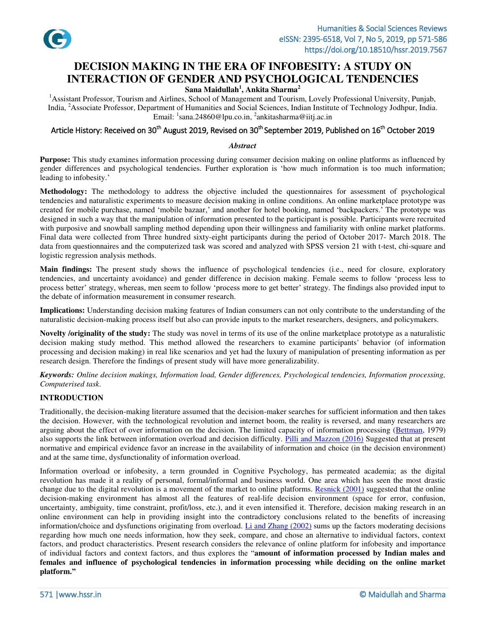

# **DECISION MAKING IN THE ERA OF INFOBESITY: A STUDY ON INTERACTION OF GENDER AND PSYCHOLOGICAL TENDENCIES**

# **Sana Maidullah<sup>1</sup> , Ankita Sharma<sup>2</sup>**

<sup>1</sup>Assistant Professor, Tourism and Airlines, School of Management and Tourism, Lovely Professional University, Punjab, India, <sup>2</sup>Associate Professor, Department of Humanities and Social Sciences, Indian Institute of Technology Jodhpur, India. Email: <sup>1</sup>[sana.24860@lpu.co.in,](mailto:sana.24860@lpu.co.in) <sup>2</sup>ankitasharma@iitj.ac.in

# Article History: Received on 30<sup>th</sup> August 2019, Revised on 30<sup>th</sup> September 2019, Published on 16<sup>th</sup> October 2019

### *Abstract*

**Purpose:** This study examines information processing during consumer decision making on online platforms as influenced by gender differences and psychological tendencies. Further exploration is 'how much information is too much information; leading to infobesity.'

**Methodology:** The methodology to address the objective included the questionnaires for assessment of psychological tendencies and naturalistic experiments to measure decision making in online conditions. An online marketplace prototype was created for mobile purchase, named 'mobile bazaar,' and another for hotel booking, named 'backpackers.' The prototype was designed in such a way that the manipulation of information presented to the participant is possible. Participants were recruited with purposive and snowball sampling method depending upon their willingness and familiarity with online market platforms. Final data were collected from Three hundred sixty-eight participants during the period of October 2017- March 2018. The data from questionnaires and the computerized task was scored and analyzed with SPSS version 21 with t-test, chi-square and logistic regression analysis methods.

**Main findings:** The present study shows the influence of psychological tendencies (i.e., need for closure, exploratory tendencies, and uncertainty avoidance) and gender difference in decision making. Female seems to follow 'process less to process better' strategy, whereas, men seem to follow 'process more to get better' strategy. The findings also provided input to the debate of information measurement in consumer research.

**Implications:** Understanding decision making features of Indian consumers can not only contribute to the understanding of the naturalistic decision-making process itself but also can provide inputs to the market researchers, designers, and policymakers.

**Novelty /originality of the study:** The study was novel in terms of its use of the online marketplace prototype as a naturalistic decision making study method. This method allowed the researchers to examine participants' behavior (of information processing and decision making) in real like scenarios and yet had the luxury of manipulation of presenting information as per research design. Therefore the findings of present study will have more generalizability.

*Keywords: Online decision makings, Information load, Gender differences, Psychological tendencies, Information processing, Computerised task*.

### **INTRODUCTION**

Traditionally, the decision-making literature assumed that the decision-maker searches for sufficient information and then takes the decision. However, with the technological revolution and internet boom, the reality is reversed, and many researchers are arguing about the effect of over information on the decision. The limited capacity of information processing [\(Bettman,](#page-13-0) 1979) also supports the link between information overload and decision difficulty. [Pilli and Mazzon \(2016\)](#page-15-0) Suggested that at present normative and empirical evidence favor an increase in the availability of information and choice (in the decision environment) and at the same time, dysfunctionality of information overload.

Information overload or infobesity, a term grounded in Cognitive Psychology, has permeated academia; as the digital revolution has made it a reality of personal, formal/informal and business world. One area which has seen the most drastic change due to the digital revolution is a movement of the market to online platforms. [Resnick \(2001\)](#page-15-1) suggested that the online decision-making environment has almost all the features of real-life decision environment (space for error, confusion, uncertainty, ambiguity, time constraint, profit/loss, etc.), and it even intensified it. Therefore, decision making research in an online environment can help in providing insight into the contradictory conclusions related to the benefits of increasing information/choice and dysfunctions originating from overload. Li and Zhang  $(2002)$  sums up the factors moderating decisions regarding how much one needs information, how they seek, compare, and chose an alternative to individual factors, context factors, and product characteristics. Present research considers the relevance of online platform for infobesity and importance of individual factors and context factors, and thus explores the "**amount of information processed by Indian males and females and influence of psychological tendencies in information processing while deciding on the online market platform."**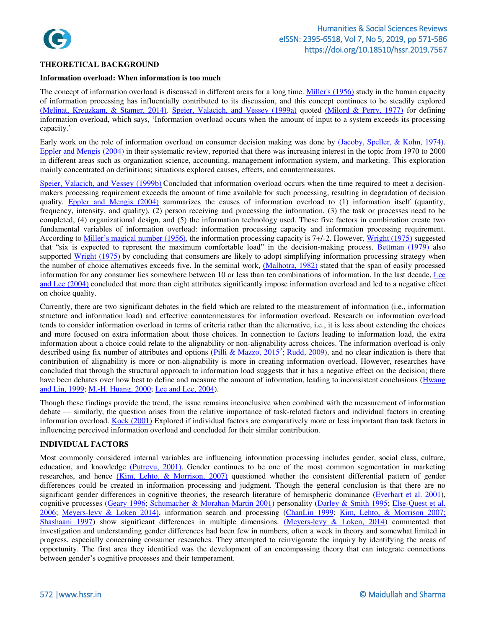

### **THEORETICAL BACKGROUND**

#### **Information overload: When information is too much**

The concept of information overload is discussed in different areas for a long time. [Miller's \(1956\) s](#page-13-2)tudy in the human capacity of information processing has influentially contributed to its discussion, and this concept continues to be steadily explored [\(Melinat, Kreuzkam, & Stamer, 2014\).](#page-15-2) [Speier, Valacich, and Vessey \(1999a\)](#page-13-3) quoted [\(Milord & Perry, 1977\)](#page-13-4) for defining information overload, which says, 'Information overload occurs when the amount of input to a system exceeds its processing capacity.'

Early work on the role of information overload on consumer decision making was done by [\(Jacoby, Speller, & Kohn, 1974\).](#page-14-0) [Eppler and Mengis \(2004\)](#page-14-1) in their systematic review, reported that there was increasing interest in the topic from 1970 to 2000 in different areas such as organization science, accounting, management information system, and marketing. This exploration mainly concentrated on definitions; situations explored causes, effects, and countermeasures.

[Speier, Valacich, and Vessey \(1999b\)](#page-13-3) Concluded that information overload occurs when the time required to meet a decisionmakers processing requirement exceeds the amount of time available for such processing, resulting in degradation of decision quality. [Eppler and Mengis \(2004\)](#page-14-1) summarizes the causes of information overload to (1) information itself (quantity, frequency, intensity, and quality), (2) person receiving and processing the information, (3) the task or processes need to be completed, (4) organizational design, and (5) the information technology used. These five factors in combination create two fundamental variables of information overload: information processing capacity and information processing requirement. According to [Miller's magical number](#page-13-2) (1956), the information processing capacity is 7+/-2. However, [Wright \(1975\)](#page-14-2) suggested that "six is expected to represent the maximum comfortable load" in the decision-making process. [Bettman](#page-13-0) (1979) also supported [Wright \(1975\)](#page-14-2) by concluding that consumers are likely to adopt simplifying information processing strategy when the number of choice alternatives exceeds five. In the seminal work, [\(Malhotra, 1982\)](#page-14-3) stated that the span of easily processed information for any consumer lies somewhere between 10 or less than ten combinations of information. In the last decade, Lee and Lee (2004) concluded that more than eight attributes significantly impose information overload and led to a negative effect on choice quality.

Currently, there are two significant debates in the field which are related to the measurement of information (i.e., information structure and information load) and effective countermeasures for information overload. Research on information overload tends to consider information overload in terms of criteria rather than the alternative, i.e., it is less about extending the choices and more focused on extra information about those choices. In connection to factors leading to information load, the extra information about a choice could relate to the alignability or non-alignability across choices. The information overload is only described using fix number of attributes and options [\(Pilli & Mazzo, 2015](#page-15-0)<sup>2</sup>; [Rudd, 2009\)](#page-14-5), and no clear indication is there that contribution of alignability is more or non-alignability is more in creating information overload. However, researches have concluded that through the structural approach to information load suggests that it has a negative effect on the decision; there have been debates over how best to define and measure the amount of information, leading to inconsistent conclusions (Hwang [and Lin, 1999;](#page-14-6) [M.-H. Huang, 2000;](#page-14-7) [Lee and Lee, 2004\)](#page-14-4).

Though these findings provide the trend, the issue remains inconclusive when combined with the measurement of information debate — similarly, the question arises from the relative importance of task-related factors and individual factors in creating information overload. [Kock \(2001\)](#page-14-8) Explored if individual factors are comparatively more or less important than task factors in influencing perceived information overload and concluded for their similar contribution.

### **INDIVIDUAL FACTORS**

Most commonly considered internal variables are influencing information processing includes gender, social class, culture, education, and knowledge [\(Putrevu, 2001\).](#page-14-9) Gender continues to be one of the most common segmentation in marketing researches, and hence [\(Kim, Lehto, & Morrison, 2007\)](#page-14-10) questioned whether the consistent differential pattern of gender differences could be created in information processing and judgment. Though the general conclusion is that there are no significant gender differences in cognitive theories, the research literature of hemispheric dominance [\(Everhart et al. 2001\)](#page-14-11), cognitive processes [\(Geary 1996;](#page-14-12) [Schumacher & Morahan-Martin 2001\)](#page-14-13) personality [\(Darley & Smith 1995;](#page-14-14) Else-Quest et al. 2006; [Meyers-levy & Loken 2014\),](#page-14-16) information search and processing [\(ChanLin 1999;](#page-14-17) [Kim, Lehto, & Morrison 2007;](#page-14-10) [Shashaani 1997\)](#page-15-3) show significant differences in multiple dimensions. [\(Meyers-levy & Loken, 2014\)](#page-14-16) commented that investigation and understanding gender differences had been few in numbers, often a week in theory and somewhat limited in progress, especially concerning consumer researches. They attempted to reinvigorate the inquiry by identifying the areas of opportunity. The first area they identified was the development of an encompassing theory that can integrate connections between gender's cognitive processes and their temperament.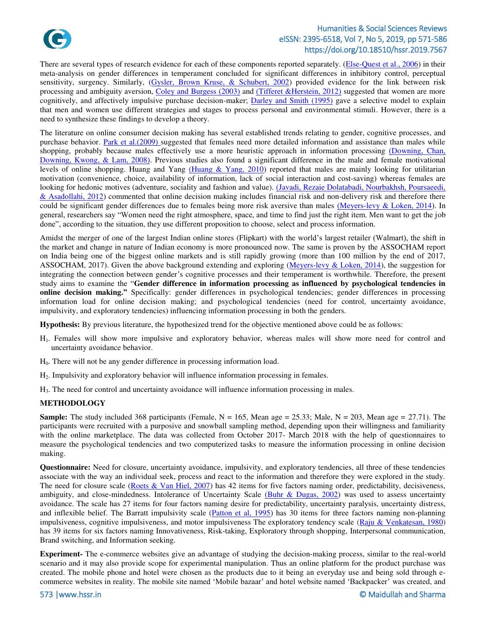

There are several types of research evidence for each of these components reported separately. [\(Else-Quest et al., 2006\)](#page-14-15) in their meta-analysis on gender differences in temperament concluded for significant differences in inhibitory control, perceptual sensitivity, surgency. Similarly, [\(Gysler, Brown Kruse, & Schubert, 2002\)](#page-14-18) provided evidence for the link between risk processing and ambiguity aversion, [Coley and Burgess \(2003\)](#page-14-19) and [\(Tifferet &Herstein, 2012\)](#page-14-20) suggested that women are more cognitively, and affectively impulsive purchase decision-maker; [Darley and Smith \(1995\)](#page-14-14) gave a selective model to explain that men and women use different strategies and stages to process personal and environmental stimuli. However, there is a need to synthesize these findings to develop a theory.

The literature on online consumer decision making has several established trends relating to gender, cognitive processes, and purchase behavior. [Park et al.\(2009\)](#page-14-21) suggested that females need more detailed information and assistance than males while shopping, probably because males effectively use a more heuristic approach in information processing [\(Downing, Chan,](#page-14-22)  Downing, Kwong, & Lam, 2008). Previous studies also found a significant difference in the male and female motivational levels of online shopping. Huang and Yang [\(Huang & Yang, 2010\)](#page-14-23) reported that males are mainly looking for utilitarian motivation (convenience, choice, availability of information, lack of social interaction and cost-saving) whereas females are looking for hedonic motives (adventure, sociality and fashion and value). [\(Javadi, Rezaie Dolatabadi, Nourbakhsh, Poursaeedi,](#page-14-24)  [& Asadollahi, 2012\)](#page-14-24) commented that online decision making includes financial risk and non-delivery risk and therefore there could be significant gender differences due to females being more risk aversive than males [\(Meyers-levy & Loken, 2014\)](#page-14-16). In general, researchers say "Women need the right atmosphere, space, and time to find just the right item. Men want to get the job done", according to the situation, they use different proposition to choose, select and process information.

Amidst the merger of one of the largest Indian online stores (Flipkart) with the world's largest retailer (Walmart), the shift in the market and change in nature of Indian economy is more pronounced now. The same is proven by the ASSOCHAM report on India being one of the biggest online markets and is still rapidly growing (more than 100 million by the end of 2017, ASSOCHAM, 2017). Given the above background extending and exploring [\(Meyers-levy & Loken, 2014\)](#page-14-16), the suggestion for integrating the connection between gender's cognitive processes and their temperament is worthwhile. Therefore, the present study aims to examine the "**Gender difference in information processing as influenced by psychological tendencies in online decision making."** Specifically: gender differences in psychological tendencies; gender differences in processing information load for online decision making; and psychological tendencies (need for control, uncertainty avoidance, impulsivity, and exploratory tendencies) influencing information processing in both the genders.

**Hypothesis:** By previous literature, the hypothesized trend for the objective mentioned above could be as follows:

- H1. Females will show more impulsive and exploratory behavior, whereas males will show more need for control and uncertainty avoidance behavior.
- H0. There will not be any gender difference in processing information load.
- H2. Impulsivity and exploratory behavior will influence information processing in females.
- H3. The need for control and uncertainty avoidance will influence information processing in males.

### **METHODOLOGY**

**Sample:** The study included 368 participants (Female,  $N = 165$ , Mean age  $= 25.33$ ; Male,  $N = 203$ , Mean age  $= 27.71$ ). The participants were recruited with a purposive and snowball sampling method, depending upon their willingness and familiarity with the online marketplace. The data was collected from October 2017- March 2018 with the help of questionnaires to measure the psychological tendencies and two computerized tasks to measure the information processing in online decision making.

**Questionnaire:** Need for closure, uncertainty avoidance, impulsivity, and exploratory tendencies, all three of these tendencies associate with the way an individual seek, process and react to the information and therefore they were explored in the study. The need for closure scale ( $\frac{\text{Roots} \& \text{Van Hiel}, 2007}$ ) has 42 items for five factors naming order, predictability, decisiveness, ambiguity, and close-mindedness. Intolerance of Uncertainty Scale  $(Buhr \& Dugas, 2002)$  was used to assess uncertainty avoidance. The scale has 27 items for four factors naming desire for predictability, uncertainty paralysis, uncertainty distress, and inflexible belief. The Barratt impulsivity scale [\(Patton et al, 1995\)](#page-15-0) has 30 items for three factors naming non-planning impulsiveness, cognitive impulsiveness, and motor impulsiveness The exploratory tendency scale [\(Raju & Venkatesan, 1980\)](#page-15-1) has 39 items for six factors naming Innovativeness, Risk-taking, Exploratory through shopping, Interpersonal communication, Brand switching, and Information seeking.

**Experiment-** The e-commerce websites give an advantage of studying the decision-making process, similar to the real-world scenario and it may also provide scope for experimental manipulation. Thus an online platform for the product purchase was created. The mobile phone and hotel were chosen as the products due to it being an everyday use and being sold through ecommerce websites in reality. The mobile site named 'Mobile bazaar' and hotel website named 'Backpacker' was created, and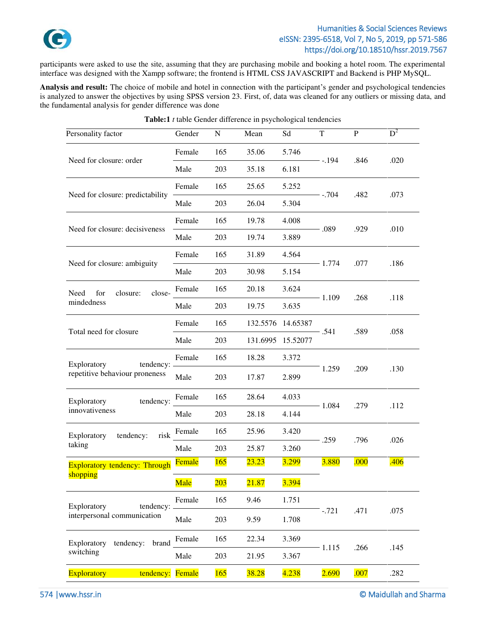

participants were asked to use the site, assuming that they are purchasing mobile and booking a hotel room. The experimental interface was designed with the Xampp software; the frontend is HTML CSS JAVASCRIPT and Backend is PHP MySQL.

**Analysis and result:** The choice of mobile and hotel in connection with the participant's gender and psychological tendencies is analyzed to answer the objectives by using SPSS version 23. First, of, data was cleaned for any outliers or missing data, and the fundamental analysis for gender difference was done

| Personality factor                | Gender        | ${\bf N}$ | Mean         | Sd           | T                    | P    | $D^2$ |
|-----------------------------------|---------------|-----------|--------------|--------------|----------------------|------|-------|
|                                   | Female        | 165       | 35.06        | 5.746        |                      |      |       |
| Need for closure: order           | Male          | 203       | 35.18        | 6.181        | - -.194              | .846 | .020  |
|                                   | Female        | 165       | 25.65        | 5.252        |                      |      |       |
| Need for closure: predictability  | Male          | 203       | 26.04        | 5.304        | - -.704              | .482 | .073  |
|                                   | Female        | 165       | 19.78        | 4.008        |                      |      |       |
| Need for closure: decisiveness    | Male          | 203       | 19.74        | 3.889        | - .089               | .929 | .010  |
|                                   | Female        | 165       | 31.89        | 4.564        | $-1.774$<br>$-1.109$ |      |       |
| Need for closure: ambiguity       | Male          | 203       | 30.98        | 5.154        |                      | .077 | .186  |
| closure:<br>close-<br>Need<br>for | Female        | 165       | 20.18        | 3.624        |                      |      |       |
| mindedness                        | Male          | 203       | 19.75        | 3.635        |                      | .268 | .118  |
|                                   | Female        | 165       | 132.5576     | 14.65387     |                      |      |       |
| Total need for closure            | Male          | 203       | 131.6995     | 15.52077     | - .541               | .589 | .058  |
| Exploratory<br>tendency:          | Female        | 165       | 18.28        | 3.372        |                      |      |       |
| repetitive behaviour proneness    | Male          | 203       | 17.87        | 2.899        | 1.259                | .209 | .130  |
| tendency:<br>Exploratory          | Female        | 165       | 28.64        | 4.033        |                      | .279 |       |
| innovativeness                    | Male          | 203       | 28.18        | 4.144        | $-1.084$             |      | .112  |
| tendency:<br>risk<br>Exploratory  | Female        | 165       | 25.96        | 3.420        |                      |      |       |
| taking                            | Male          | 203       | 25.87        | 3.260        | .259                 | .796 | .026  |
| Exploratory tendency: Through     | <b>Female</b> | 165       | 23.23        | <b>3.299</b> | 3.880                | .000 | .406  |
| shopping                          | Male          | 203       | 21.87        | 3.394        |                      |      |       |
| Exploratory<br>tendency: _        | Female        | 165       | 9.46         | 1.751        |                      |      |       |
| interpersonal communication       | Male          | 203       | 9.59         | 1.708        | $-.721$              | .471 | .075  |
| tendency:<br>Exploratory<br>brand | Female        | 165       | 22.34        | 3.369        |                      |      |       |
| switching                         | Male          | 203       | 21.95        | 3.367        | $-1.115$             | .266 | .145  |
| <b>Exploratory</b><br>tendency:   | Female        | 165       | <b>38.28</b> | 4.238        | 2.690                | .007 | .282  |

| <b>Table:1</b> $t$ table Gender difference in psychological tendencies |  |
|------------------------------------------------------------------------|--|
|------------------------------------------------------------------------|--|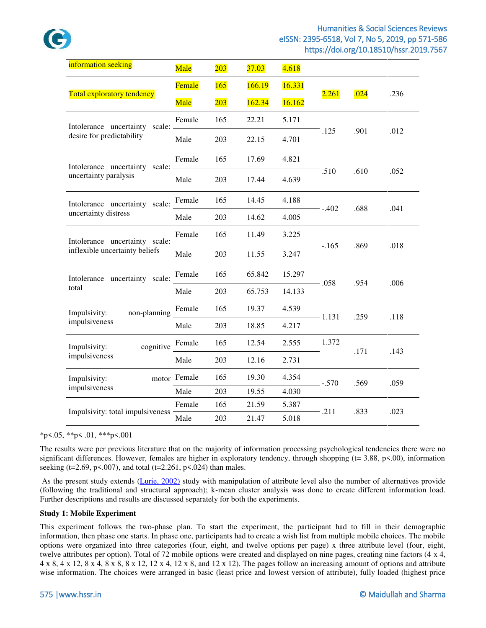

| information seeking               | Male         | 203 | 37.03  | 4.618  |         |      |      |
|-----------------------------------|--------------|-----|--------|--------|---------|------|------|
|                                   | Female       | 165 | 166.19 | 16.331 | 2.261   | .024 | .236 |
| <b>Total exploratory tendency</b> | Male         | 203 | 162.34 | 16.162 |         |      |      |
| Intolerance uncertainty scale:    | Female       | 165 | 22.21  | 5.171  |         |      |      |
| desire for predictability         | Male         | 203 | 22.15  | 4.701  | .125    | .901 | .012 |
| Intolerance uncertainty scale: -  | Female       | 165 | 17.69  | 4.821  |         |      |      |
| uncertainty paralysis             | Male         | 203 | 17.44  | 4.639  | .510    | .610 | .052 |
| Intolerance uncertainty scale:    | Female       | 165 | 14.45  | 4.188  |         |      |      |
| uncertainty distress              | Male         | 203 | 14.62  | 4.005  | $-.402$ | .688 | .041 |
| Intolerance uncertainty scale: -  | Female       | 165 | 11.49  | 3.225  |         |      |      |
| inflexible uncertainty beliefs    | Male         | 203 | 11.55  | 3.247  | $-.165$ | .869 | .018 |
| Intolerance uncertainty scale:    | Female       | 165 | 65.842 | 15.297 | - .058  | .954 |      |
| total                             | Male         | 203 | 65.753 | 14.133 |         |      | .006 |
| non-planning<br>Impulsivity:      | Female       | 165 | 19.37  | 4.539  | - 1.131 | .259 |      |
| impulsiveness                     | Male         | 203 | 18.85  | 4.217  |         |      | .118 |
| cognitive<br>Impulsivity:         | Female       | 165 | 12.54  | 2.555  | 1.372   | .171 |      |
| impulsiveness                     | Male         | 203 | 12.16  | 2.731  |         |      | .143 |
| Impulsivity:                      | motor Female | 165 | 19.30  | 4.354  | $-.570$ | .569 | .059 |
| impulsiveness                     | Male         | 203 | 19.55  | 4.030  |         |      |      |
| Impulsivity: total impulsiveness  | Female       | 165 | 21.59  | 5.387  | .211    | .833 | .023 |
|                                   | Male         | 203 | 21.47  | 5.018  |         |      |      |

 $*p<.05$ ,  $*p<.01$ ,  $**p<.001$ 

The results were per previous literature that on the majority of information processing psychological tendencies there were no significant differences. However, females are higher in exploratory tendency, through shopping ( $t = 3.88$ ,  $p \le 0.00$ ), information seeking (t=2.69, p<.007), and total (t=2.261, p<.024) than males.

 As the present study extends [\(Lurie, 2002\)](#page-15-5) study with manipulation of attribute level also the number of alternatives provide (following the traditional and structural approach); k-mean cluster analysis was done to create different information load. Further descriptions and results are discussed separately for both the experiments.

### **Study 1: Mobile Experiment**

This experiment follows the two-phase plan. To start the experiment, the participant had to fill in their demographic information, then phase one starts. In phase one, participants had to create a wish list from multiple mobile choices. The mobile options were organized into three categories (four, eight, and twelve options per page) x three attribute level (four, eight, twelve attributes per option). Total of 72 mobile options were created and displayed on nine pages, creating nine factors (4 x 4,  $4 \times 8$ ,  $4 \times 12$ ,  $8 \times 4$ ,  $8 \times 8$ ,  $8 \times 12$ ,  $12 \times 4$ ,  $12 \times 8$ , and  $12 \times 12$ ). The pages follow an increasing amount of options and attribute wise information. The choices were arranged in basic (least price and lowest version of attribute), fully loaded (highest price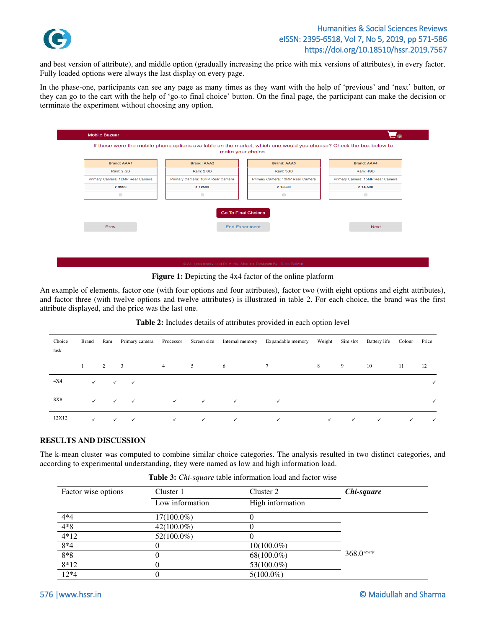

and best version of attribute), and middle option (gradually increasing the price with mix versions of attributes), in every factor. Fully loaded options were always the last display on every page.

In the phase-one, participants can see any page as many times as they want with the help of 'previous' and 'next' button, or they can go to the cart with the help of 'go-to final choice' button. On the final page, the participant can make the decision or terminate the experiment without choosing any option.

| <b>Brand: AAA1</b>               | <b>Brand: AAA2</b>                          | <b>Brand: AAA3</b>                                  | <b>Brand: AAA4</b>               |
|----------------------------------|---------------------------------------------|-----------------------------------------------------|----------------------------------|
| Ram: 2 GB                        | Ram: 2 GB                                   | Ram: 3GB                                            | Ram: 4GB                         |
| Primary Camera: 12MP Rear Camera | Primary Camera: 10MP Rear Camera            | Primary Camera: 13MP Rear Camera                    | Primary Camera: 15MP Rear Camera |
| ₹9999                            | ₹ 12599                                     | ₹ 13689                                             | ₹ 14,590                         |
| $\qquad \qquad \Box$             | $\qquad \qquad \qquad \qquad \qquad \qquad$ | $\qquad \qquad \Box$                                | $\qquad \qquad \Box$             |
| Prev                             |                                             | <b>Go To Final Choices</b><br><b>End Experiment</b> | <b>Next</b>                      |
|                                  |                                             |                                                     |                                  |

**Figure 1:** Depicting the 4x4 factor of the online platform

An example of elements, factor one (with four options and four attributes), factor two (with eight options and eight attributes), and factor three (with twelve options and twelve attributes) is illustrated in table 2. For each choice, the brand was the first attribute displayed, and the price was the last one.

| Choice<br>task | <b>Brand</b> | Ram          | Primary camera | Processor      | Screen size  | Internal memory | Expandable memory | Weight       |              | Sim slot Battery life | Colour       | Price |
|----------------|--------------|--------------|----------------|----------------|--------------|-----------------|-------------------|--------------|--------------|-----------------------|--------------|-------|
|                |              | $\mathbf{2}$ | 3              | $\overline{4}$ | 5            | 6               | $7^{\circ}$       | 8            | 9            | 10                    | 11           | 12    |
| 4X4            | $\checkmark$ | $\checkmark$ | $\checkmark$   |                |              |                 |                   |              |              |                       |              |       |
| <b>8X8</b>     | $\checkmark$ | $\checkmark$ | $\checkmark$   | $\checkmark$   | $\checkmark$ | $\checkmark$    |                   |              |              |                       |              | ✓     |
| 12X12          | $\checkmark$ | $\checkmark$ | $\checkmark$   | $\checkmark$   | $\checkmark$ | $\checkmark$    | ✓                 | $\checkmark$ | $\checkmark$ | $\checkmark$          | $\checkmark$ | ✓     |

### **Table 2:** Includes details of attributes provided in each option level

### **RESULTS AND DISCUSSION**

The k-mean cluster was computed to combine similar choice categories. The analysis resulted in two distinct categories, and according to experimental understanding, they were named as low and high information load.

| <b>Table 3:</b> <i>Chi-square</i> table information load and factor wise |  |  |  |  |  |
|--------------------------------------------------------------------------|--|--|--|--|--|
|--------------------------------------------------------------------------|--|--|--|--|--|

| Factor wise options | Cluster 1       | Cluster 2        | Chi-square |
|---------------------|-----------------|------------------|------------|
|                     | Low information | High information |            |
| $4*4$               | $17(100.0\%)$   |                  |            |
| $4*8$               | $42(100.0\%)$   |                  |            |
| $4*12$              | $52(100.0\%)$   |                  |            |
| $8*4$               |                 | $10(100.0\%)$    |            |
| $8*8$               |                 | 68(100.0%)       | $368.0***$ |
| $8*12$              |                 | 53(100.0%)       |            |
| $12*4$              | O               | $5(100.0\%)$     |            |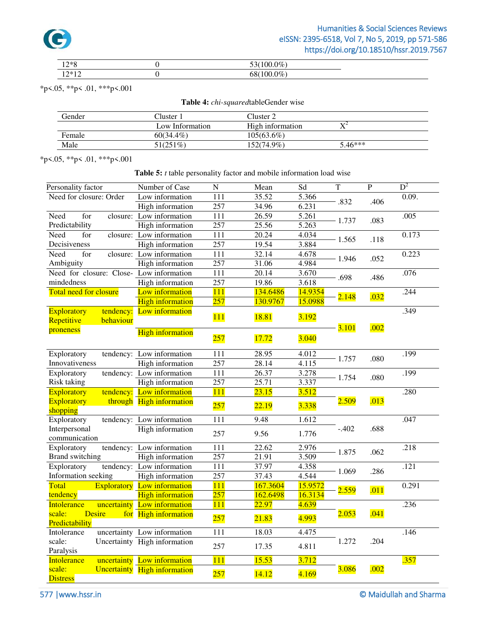

| $12*0$<br>$\overline{1}$<br>. .   | $\gamma$ <sub><math>\sigma</math></sub><br>'M |
|-----------------------------------|-----------------------------------------------|
| $\bigcap \bigcup$<br>$\sim$<br>-- | $\gamma$<br>M<br>הר                           |

\*p<.05, \*\*p< .01, \*\*\*p<.001

|  |  |  | Table 4: chi-squaredtableGender wise |  |  |
|--|--|--|--------------------------------------|--|--|
|--|--|--|--------------------------------------|--|--|

| Gender | Cluster 1       | Cluster 2        |                      |  |
|--------|-----------------|------------------|----------------------|--|
|        | Low Information | High information | $\mathbf{V}^{\perp}$ |  |
| Female | $60(34.4\%)$    | $105(63.6\%)$    |                      |  |
| Male   | 51(251%)        | 152(74.9%)       | $5.46***$            |  |

\*p<.05, \*\*p< .01, \*\*\*p<.001

### **Table 5:** *t* table personality factor and mobile information load wise

| Personality factor                       | Number of Case                      | N                | Mean         | Sd                 | T        | $\overline{P}$ | $D^2$ |
|------------------------------------------|-------------------------------------|------------------|--------------|--------------------|----------|----------------|-------|
| Need for closure: Order                  | Low information                     | 111              | 35.52        | 5.366              | .832     | .406           | 0.09. |
|                                          | <b>High information</b>             | 257              | 34.96        | 6.231              |          |                |       |
| Need<br>for                              | closure: Low information            | 111              | 26.59        | $\overline{5.261}$ | $-1.737$ | .083           | .005  |
| Predictability                           | High information                    | 257              | 25.56        | 5.263              |          |                |       |
| Need<br>for                              | closure: Low information            | 111              | 20.24        | 4.034              | $-1.565$ | .118           | 0.173 |
| Decisiveness                             | <b>High information</b>             | 257              | 19.54        | 3.884              |          |                |       |
| Need<br>for                              | closure: Low information            | 111              | 32.14        | 4.678              | $-1.946$ | .052           | 0.223 |
| Ambiguity                                | High information                    | 257              | 31.06        | 4.984              |          |                |       |
| Need for closure: Close- Low information |                                     | 111              | 20.14        | 3.670              | .698     | .486           | .076  |
| mindedness                               | High information                    | 257              | 19.86        | 3.618              |          |                |       |
| <b>Total need for closure</b>            | Low information                     | 111              | 134.6486     | 14.9354            | 2.148    | .032           | .244  |
|                                          | <b>High information</b>             | 257              | 130.9767     | 15.0988            |          |                |       |
| Exploratory<br>tendency:                 | Low information                     |                  |              |                    |          |                | .349  |
| Repetitive<br>behaviour                  |                                     | <b>111</b>       | 18.81        | 3.192              |          |                |       |
| proneness                                | <b>High information</b>             |                  |              |                    | 3.101    | .002           |       |
|                                          |                                     | 257              | <b>17.72</b> | 3.040              |          |                |       |
| Exploratory                              | tendency: Low information           | 111              | 28.95        | 4.012              |          |                | .199  |
| Innovativeness                           | High information                    | 257              | 28.14        | 4.115              | 1.757    | .080           |       |
| Exploratory                              | tendency: Low information           | 111              | 26.37        | 3.278              |          |                | .199  |
| Risk taking                              | High information                    | 257              | 25.71        | 3.337              | 1.754    | .080           |       |
| Exploratory                              | tendency: Low information           | 111              | 23.15        | 3.512              |          |                | .280  |
| Exploratory                              | through High information            | 257              | 22.19        | 3.338              | 2.509    | .013           |       |
| shopping                                 |                                     |                  |              |                    |          |                |       |
| Exploratory                              | tendency: Low information           | 111              | 9.48         | 1.612              |          |                | .047  |
| Interpersonal                            | High information                    | 257              | 9.56         | 1.776              | $-.402$  | .688           |       |
| communication                            |                                     |                  |              |                    |          |                |       |
| Exploratory                              | tendency: Low information           | 111              | 22.62        | 2.976              | $-1.875$ | .062           | .218  |
| <b>Brand switching</b>                   | High information                    | 257              | 21.91        | 3.509              |          |                |       |
| Exploratory                              | tendency: Low information           | 111              | 37.97        | 4.358              | $-1.069$ | .286           | .121  |
| Information seeking                      | High information                    | 257              | 37.43        | 4.544              |          |                |       |
| Total                                    | <b>Exploratory</b> Low information  | 111              | 167.3604     | 15.9572            | 2.559    | .011           | 0.291 |
| tendency                                 | <b>High information</b>             | 257              | 162.6498     | 16.3134            |          |                |       |
| <b>Intolerance</b>                       | uncertainty Low information         | 111              | 22.97        | 4.639              |          |                | .236  |
| scale:<br><b>Desire</b>                  | for High information                | 257              | 21.83        | 4.993              | 2.053    | .041           |       |
| Predictability                           |                                     |                  |              |                    |          |                |       |
| Intolerance                              | uncertainty Low information         | $\overline{111}$ | 18.03        | 4.475              |          |                | .146  |
| scale:                                   | Uncertainty High information        | 257              | 17.35        | 4.811              | 1.272    | .204           |       |
| Paralysis                                |                                     |                  |              |                    |          |                |       |
| <b>Intolerance</b>                       | uncertainty Low information         | 111              | 15.53        | 3.712              |          |                | .357  |
| scale:                                   | <b>Uncertainty</b> High information | 257              | 14.12        | 4.169              | 3.086    | .002           |       |
| <b>Distress</b>                          |                                     |                  |              |                    |          |                |       |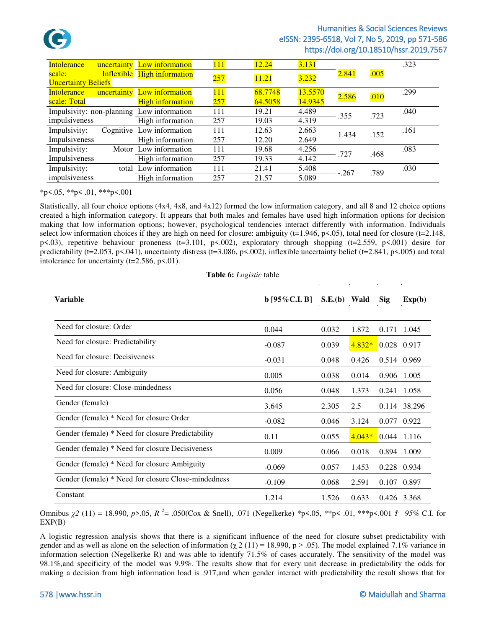

| <b>Intolerance</b>         | uncertainty Low information               | <b>111</b> | 12.24   | 3.131   |         |      | .323 |
|----------------------------|-------------------------------------------|------------|---------|---------|---------|------|------|
| scale:                     | Inflexible High information               | 257        | 11.21   | 3.232   | 2.841   | .005 |      |
| <b>Uncertainty Beliefs</b> |                                           |            |         |         |         |      |      |
| <b>Intolerance</b>         | uncertainty Low information               | 111        | 68.7748 | 13.5570 | 2.586   | .010 | .299 |
| scale: Total               | <b>High information</b>                   | 257        | 64.5058 | 14.9345 |         |      |      |
|                            | Impulsivity: non-planning Low information | 111        | 19.21   | 4.489   | .355    | .723 | .040 |
| impulsiveness              | High information                          | 257        | 19.03   | 4.319   |         |      |      |
| Impulsivity:               | Cognitive Low information                 | 111        | 12.63   | 2.663   | - 1.434 | .152 | .161 |
| Impulsiveness              | High information                          | 257        | 12.20   | 2.649   |         |      |      |
| Impulsivity:               | Motor Low information                     | 111        | 19.68   | 4.256   | .727    | .468 | .083 |
| Impulsiveness              | High information                          | 257        | 19.33   | 4.142   |         |      |      |
| Impulsivity:               | total Low information                     | 111        | 21.41   | 5.408   | $-.267$ | .789 | .030 |
| impulsiveness              | High information                          | 257        | 21.57   | 5.089   |         |      |      |

### \*p<.05, \*\*p< .01, \*\*\*p<.001

Statistically, all four choice options (4x4, 4x8, and 4x12) formed the low information category, and all 8 and 12 choice options created a high information category. It appears that both males and females have used high information options for decision making that low information options; however, psychological tendencies interact differently with information. Individuals select low information choices if they are high on need for closure: ambiguity (t=1.946, p<.05), total need for closure (t=2.148, p<.03), repetitive behaviour proneness (t=3.101, p<.002), exploratory through shopping (t=2.559, p<.001) desire for predictability (t=2.053, p<.041), uncertainty distress (t=3.086, p<.002), inflexible uncertainty belief (t=2.841, p<.005) and total intolerance for uncertainty ( $t=2.586$ ,  $p<.01$ ).

**Table 6:** *Logistic* table

| <b>Variable</b>                                     | $b$ [95% C.I. B] | $S.E.(b)$ Wald |          | <b>Sig</b>    | Exp(b)       |
|-----------------------------------------------------|------------------|----------------|----------|---------------|--------------|
|                                                     |                  |                |          |               |              |
| Need for closure: Order                             | 0.044            | 0.032          | 1.872    |               | 0.171 1.045  |
| Need for closure: Predictability                    | $-0.087$         | 0.039          | $4.832*$ | $0.028$ 0.917 |              |
| Need for closure: Decisiveness                      | $-0.031$         | 0.048          | 0.426    |               | 0.514 0.969  |
| Need for closure: Ambiguity                         | 0.005            | 0.038          | 0.014    | 0.906         | 1.005        |
| Need for closure: Close-mindedness                  | 0.056            | 0.048          | 1.373    | 0.241         | 1.058        |
| Gender (female)                                     | 3.645            | 2.305          | 2.5      |               | 0.114 38.296 |
| Gender (female) * Need for closure Order            | $-0.082$         | 0.046          | 3.124    |               | 0.077 0.922  |
| Gender (female) * Need for closure Predictability   | 0.11             | 0.055          | $4.043*$ | $0.044$ 1.116 |              |
| Gender (female) * Need for closure Decisiveness     | 0.009            | 0.066          | 0.018    |               | 0.894 1.009  |
| Gender (female) * Need for closure Ambiguity        | $-0.069$         | 0.057          | 1.453    |               | 0.228 0.934  |
| Gender (female) * Need for closure Close-mindedness | $-0.109$         | 0.068          | 2.591    |               | 0.107 0.897  |
| Constant                                            | 1.214            | 1.526          | 0.633    | 0.426 3.368   |              |

Omnibus *χ2* (11) = 18.990, *p*>.05, *R <sup>2</sup>* = .050(Cox & Snell), .071 (Negelkerke) \*p<.05, \*\*p< .01, \*\*\*p<.001 *Ϯ—95%* C.I. for EXP(B)

A logistic regression analysis shows that there is a significant influence of the need for closure subset predictability with gender and as well as alone on the selection of information ( $\chi$  2 (11) = 18.990, p > .05). The model explained 7.1% variance in information selection (Negelkerke R) and was able to identify 71.5% of cases accurately. The sensitivity of the model was 98.1%,and specificity of the model was 9.9%. The results show that for every unit decrease in predictability the odds for making a decision from high information load is .917,and when gender interact with predictability the result shows that for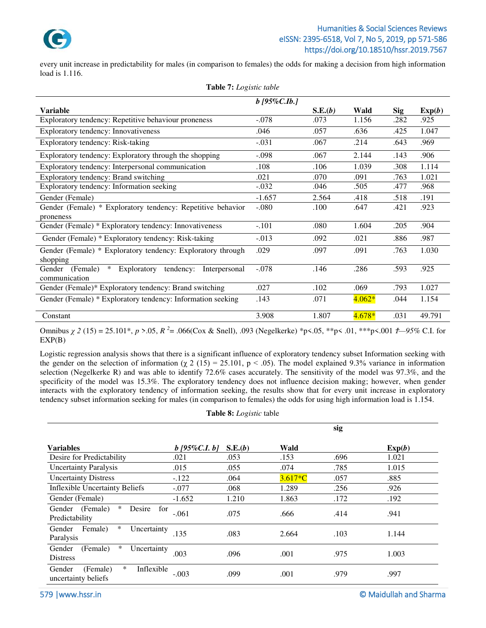

every unit increase in predictability for males (in comparison to females) the odds for making a decision from high information load is 1.116.

| <b>Variable</b>                                                           | $b$ [95%C.Ib.] | S.E.(b) | Wald     | Sig  | Exp(b) |
|---------------------------------------------------------------------------|----------------|---------|----------|------|--------|
| Exploratory tendency: Repetitive behaviour proneness                      | $-.078$        | .073    | 1.156    | .282 | .925   |
| Exploratory tendency: Innovativeness                                      | .046           | .057    | .636     | .425 | 1.047  |
| Exploratory tendency: Risk-taking                                         | $-.031$        | .067    | .214     | .643 | .969   |
| Exploratory tendency: Exploratory through the shopping                    | $-.098$        | .067    | 2.144    | .143 | .906   |
| Exploratory tendency: Interpersonal communication                         | .108           | .106    | 1.039    | .308 | 1.114  |
| Exploratory tendency: Brand switching                                     | .021           | .070    | .091     | .763 | 1.021  |
| Exploratory tendency: Information seeking                                 | $-.032$        | .046    | .505     | .477 | .968   |
| Gender (Female)                                                           | $-1.657$       | 2.564   | .418     | .518 | .191   |
| Gender (Female) * Exploratory tendency: Repetitive behavior               | $-.080$        | .100    | .647     | .421 | .923   |
| proneness                                                                 |                |         |          |      |        |
| Gender (Female) * Exploratory tendency: Innovativeness                    | $-.101$        | .080    | 1.604    | .205 | .904   |
| Gender (Female) * Exploratory tendency: Risk-taking                       | $-.013$        | .092    | .021     | .886 | .987   |
| Gender (Female) * Exploratory tendency: Exploratory through               | .029           | .097    | .091     | .763 | 1.030  |
| shopping                                                                  |                |         |          |      |        |
| $\ast$<br>Exploratory<br>tendency:<br>Gender<br>(Female)<br>Interpersonal | $-.078$        | .146    | .286     | .593 | .925   |
| communication                                                             |                |         |          |      |        |
| Gender (Female)* Exploratory tendency: Brand switching                    | .027           | .102    | .069     | .793 | 1.027  |
| Gender (Female) * Exploratory tendency: Information seeking               | .143           | .071    | $4.062*$ | .044 | 1.154  |
| Constant                                                                  | 3.908          | 1.807   | $4.678*$ | .031 | 49.791 |

#### **Table 7:** *Logistic table*

Omnibus *χ 2* (15) = 25.101\*, *p* >.05, *R <sup>2</sup>* = .066(Cox & Snell), .093 (Negelkerke) \*p<.05, \*\*p< .01, \*\*\*p<.001 *Ϯ—95%* C.I. for EXP(B)

Logistic regression analysis shows that there is a significant influence of exploratory tendency subset Information seeking with the gender on the selection of information ( $\chi$  2 (15) = 25.101, p < .05). The model explained 9.3% variance in information selection (Negelkerke R) and was able to identify 72.6% cases accurately. The sensitivity of the model was 97.3%, and the specificity of the model was 15.3%. The exploratory tendency does not influence decision making; however, when gender interacts with the exploratory tendency of information seeking, the results show that for every unit increase in exploratory tendency subset information seeking for males (in comparison to females) the odds for using high information load is 1.154.

|  | Table 8: Logistic table |  |
|--|-------------------------|--|
|--|-------------------------|--|

|                                                                   |                    |         |           | sig  |        |
|-------------------------------------------------------------------|--------------------|---------|-----------|------|--------|
| <b>Variables</b>                                                  | $b$ [95%C.I. $b$ ] | S.E.(b) | Wald      |      | Exp(b) |
| Desire for Predictability                                         | .021               | .053    | .153      | .696 | 1.021  |
| <b>Uncertainty Paralysis</b>                                      | .015               | .055    | .074      | .785 | 1.015  |
| <b>Uncertainty Distress</b>                                       | $-.122$            | .064    | $3.617*C$ | .057 | .885   |
| <b>Inflexible Uncertainty Beliefs</b>                             | $-.077$            | .068    | 1.289     | .256 | .926   |
| Gender (Female)                                                   | $-1.652$           | 1.210   | 1.863     | .172 | .192   |
| $\ast$<br>(Female)<br>Gender<br>Desire<br>for<br>Predictability   | $-.061$            | .075    | .666      | .414 | .941   |
| $\ast$<br>Female)<br>Uncertainty<br>Gender<br>Paralysis           | .135               | .083    | 2.664     | .103 | 1.144  |
| $\ast$<br>(Female)<br>Gender<br>Uncertainty<br><b>Distress</b>    | .003               | .096    | .001      | .975 | 1.003  |
| $\ast$<br>Inflexible<br>Gender<br>(Female)<br>uncertainty beliefs | $-.003$            | .099    | .001      | .979 | .997   |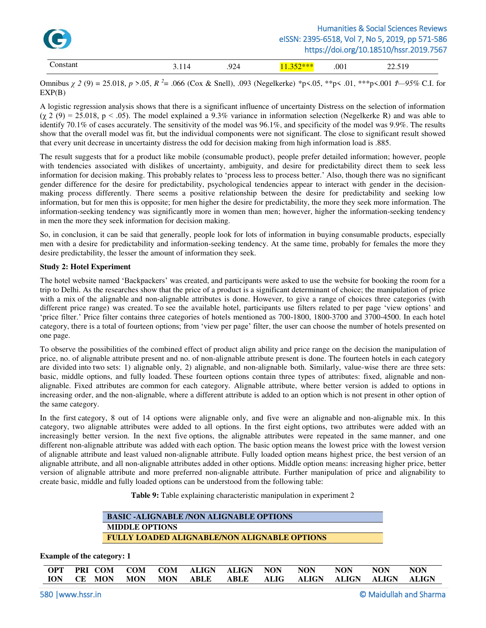| C        |       |     |             |      | <b>Humanities &amp; Social Sciences Reviews</b><br>elSSN: 2395-6518, Vol 7, No 5, 2019, pp 571-586<br>https://doi.org/10.18510/hssr.2019.7567 |
|----------|-------|-----|-------------|------|-----------------------------------------------------------------------------------------------------------------------------------------------|
| Constant | 3.114 | 924 | $11.352***$ | .001 | 22.519                                                                                                                                        |

Omnibus *χ 2* (9) = 25.018, *p* >.05, *R <sup>2</sup>* = .066 (Cox & Snell), .093 (Negelkerke) \*p<.05, \*\*p< .01, \*\*\*p<.001 *Ϯ—95%* C.I. for EXP(B)

A logistic regression analysis shows that there is a significant influence of uncertainty Distress on the selection of information  $(\chi 2 (9) = 25.018, p < .05)$ . The model explained a 9.3% variance in information selection (Negelkerke R) and was able to identify 70.1% of cases accurately. The sensitivity of the model was 96.1%, and specificity of the model was 9.9%. The results show that the overall model was fit, but the individual components were not significant. The close to significant result showed that every unit decrease in uncertainty distress the odd for decision making from high information load is .885.

The result suggests that for a product like mobile (consumable product), people prefer detailed information; however, people with tendencies associated with dislikes of uncertainty, ambiguity, and desire for predictability direct them to seek less information for decision making. This probably relates to 'process less to process better.' Also, though there was no significant gender difference for the desire for predictability, psychological tendencies appear to interact with gender in the decisionmaking process differently. There seems a positive relationship between the desire for predictability and seeking low information, but for men this is opposite; for men higher the desire for predictability, the more they seek more information. The information-seeking tendency was significantly more in women than men; however, higher the information-seeking tendency in men the more they seek information for decision making.

So, in conclusion, it can be said that generally, people look for lots of information in buying consumable products, especially men with a desire for predictability and information-seeking tendency. At the same time, probably for females the more they desire predictability, the lesser the amount of information they seek.

### **Study 2: Hotel Experiment**

The hotel website named 'Backpackers' was created, and participants were asked to use the website for booking the room for a trip to Delhi. As the researches show that the price of a product is a significant determinant of choice; the manipulation of price with a mix of the alignable and non-alignable attributes is done. However, to give a range of choices three categories (with different price range) was created. To see the available hotel, participants use filters related to per page 'view options' and 'price filter.' Price filter contains three categories of hotels mentioned as 700-1800, 1800-3700 and 3700-4500. In each hotel category, there is a total of fourteen options; from 'view per page' filter, the user can choose the number of hotels presented on one page.

To observe the possibilities of the combined effect of product align ability and price range on the decision the manipulation of price, no. of alignable attribute present and no. of non-alignable attribute present is done. The fourteen hotels in each category are divided into two sets: 1) alignable only, 2) alignable, and non-alignable both. Similarly, value-wise there are three sets: basic, middle options, and fully loaded. These fourteen options contain three types of attributes: fixed, alignable and nonalignable. Fixed attributes are common for each category. Alignable attribute, where better version is added to options in increasing order, and the non-alignable, where a different attribute is added to an option which is not present in other option of the same category.

In the first category, 8 out of 14 options were alignable only, and five were an alignable and non-alignable mix. In this category, two alignable attributes were added to all options. In the first eight options, two attributes were added with an increasingly better version. In the next five options, the alignable attributes were repeated in the same manner, and one different non-alignable attribute was added with each option. The basic option means the lowest price with the lowest version of alignable attribute and least valued non-alignable attribute. Fully loaded option means highest price, the best version of an alignable attribute, and all non-alignable attributes added in other options. Middle option means: increasing higher price, better version of alignable attribute and more preferred non-alignable attribute. Further manipulation of price and alignability to create basic, middle and fully loaded options can be understood from the following table:

**Table 9:** Table explaining characteristic manipulation in experiment 2

| <b>BASIC -ALIGNABLE /NON ALIGNABLE OPTIONS</b>      |  |
|-----------------------------------------------------|--|
| <b>MIDDLE OPTIONS</b>                               |  |
| <b>FULLY LOADED ALIGNABLE/NON ALIGNABLE OPTIONS</b> |  |

**Example of the category: 1** 

| OPT PRI-COM COM COM ALIGN ALIGN NON NON NON NON           |  |  |  |  | <b>NON</b> |
|-----------------------------------------------------------|--|--|--|--|------------|
| TON CE MON MON MON ABLE ABLE ALIG ALIGN ALIGN ALIGN ALIGN |  |  |  |  |            |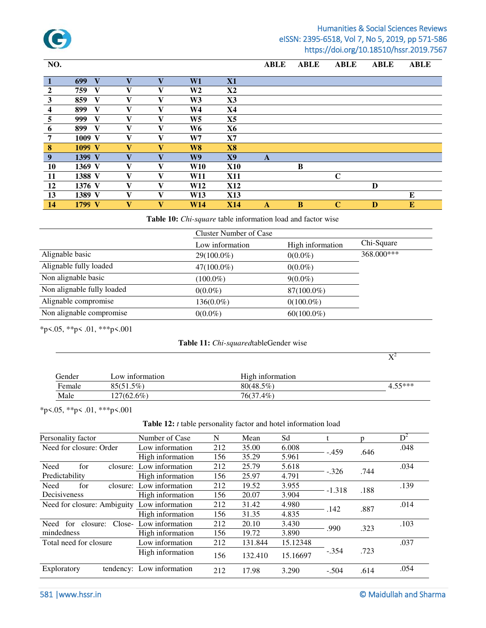

| NO.              |                     |                         |                         |                |               | <b>ABLE</b> | <b>ABLE</b> | <b>ABLE</b> | <b>ABLE</b> | <b>ABLE</b> |
|------------------|---------------------|-------------------------|-------------------------|----------------|---------------|-------------|-------------|-------------|-------------|-------------|
| $\vert 1 \vert$  | 699<br>$\mathbf{V}$ | $\overline{\mathbf{V}}$ |                         | W1             | X1            |             |             |             |             |             |
| $\overline{2}$   | V<br>759            | V                       | V                       | W <sub>2</sub> | <b>X2</b>     |             |             |             |             |             |
| $\mathbf{3}$     | 859<br>V            | v                       | V                       | W <sub>3</sub> | $\mathbf{X}3$ |             |             |             |             |             |
| $\boldsymbol{4}$ | V<br>899            | $\mathbf{V}$            | $\mathbf{V}$            | W4             | X4            |             |             |             |             |             |
| 5                | V<br>999            | V                       | v                       | W <sub>5</sub> | <b>X5</b>     |             |             |             |             |             |
| 6                | V<br>899            | V                       | V                       | W6             | <b>X6</b>     |             |             |             |             |             |
| 7                | $1009$ V            | V                       | V                       | W7             | X7            |             |             |             |             |             |
| $\boldsymbol{8}$ | 1099 V              | $\overline{\mathbf{V}}$ | $\mathbf{V}$            | <b>W8</b>      | <b>X8</b>     |             |             |             |             |             |
| 9                | 1399 V              | $\overline{\mathbf{V}}$ | $\overline{\mathbf{V}}$ | W9             | <b>X9</b>     | A           |             |             |             |             |
| <b>10</b>        | 1369 V              | V                       | v                       | <b>W10</b>     | <b>X10</b>    |             | B           |             |             |             |
| <b>11</b>        | 1388 V              | V                       | V                       | W11            | <b>X11</b>    |             |             | C           |             |             |
| 12               | 1376 V              | $\mathbf{V}$            | v                       | <b>W12</b>     | <b>X12</b>    |             |             |             | D           |             |
| 13               | 1389 V              | V                       | V                       | W13            | <b>X13</b>    |             |             |             |             | E           |
| 14               | 1799 V              | $\mathbf{V}$            | $\mathbf{V}$            | W14            | <b>X14</b>    | A           | $\bf{B}$    | $\mathbf C$ | D           | ${\bf E}$   |

**Table 10:** *Chi-square* table information load and factor wise

| <b>Cluster Number of Case</b> |                                                                                                           |
|-------------------------------|-----------------------------------------------------------------------------------------------------------|
| Low information               | Chi-Square                                                                                                |
| $29(100.0\%)$                 | 368,000***                                                                                                |
| $47(100.0\%)$                 |                                                                                                           |
| $(100.0\%)$                   |                                                                                                           |
| $0(0.0\%)$                    |                                                                                                           |
| 136(0.0%)                     |                                                                                                           |
| $0(0.0\%)$                    |                                                                                                           |
|                               | High information<br>$0(0.0\%)$<br>$0(0.0\%)$<br>$9(0.0\%)$<br>87(100.0%)<br>$0(100.0\%)$<br>$60(100.0\%)$ |

\*p<.05, \*\*p< .01, \*\*\*p<.001

### **Table 11:** *Chi-squared*tableGender wise

 $\mathrm{X}^2$ 

| Gender | Low information | High information |           |
|--------|-----------------|------------------|-----------|
| Female | $85(51.5\%)$    | $80(48.5\%)$     | $4.55***$ |
| Male   | 127(62.6%)      | 76(37.4%)        |           |

\*p<.05, \*\*p< .01, \*\*\*p<.001

|  |  |  | Table 12: <i>t</i> table personality factor and hotel information load |
|--|--|--|------------------------------------------------------------------------|
|--|--|--|------------------------------------------------------------------------|

| Personality factor                | Number of Case   | N   | Mean    | Sd       |          |      | $D^2$ |
|-----------------------------------|------------------|-----|---------|----------|----------|------|-------|
| Need for closure: Order           | Low information  | 212 | 35.00   | 6.008    | $-.459$  |      | .048  |
|                                   | High information | 156 | 35.29   | 5.961    |          | .646 |       |
| Need<br>for<br>closure:           | Low information  | 212 | 25.79   | 5.618    | $-.326$  | .744 | .034  |
| Predictability                    | High information | 156 | 25.97   | 4.791    |          |      |       |
| Need<br>for<br>closure:           | Low information  | 212 | 19.52   | 3.955    | $-1.318$ | .188 | .139  |
| Decisiveness                      | High information | 156 | 20.07   | 3.904    |          |      |       |
| Need for closure: Ambiguity       | Low information  | 212 | 31.42   | 4.980    | .142     | .887 | .014  |
|                                   | High information | 156 | 31.35   | 4.835    |          |      |       |
| for<br>closure:<br>Close-<br>Need | Low information  | 212 | 20.10   | 3.430    | .990     |      | .103  |
| mindedness                        | High information | 156 | 19.72   | 3.890    |          | .323 |       |
| Total need for closure            | Low information  | 212 | 131.844 | 15.12348 |          |      | .037  |
|                                   | High information | 156 | 132.410 | 15.16697 | $-.354$  | .723 |       |
| Exploratory<br>tendency:          | Low information  | 212 | 17.98   | 3.290    | $-.504$  | .614 | .054  |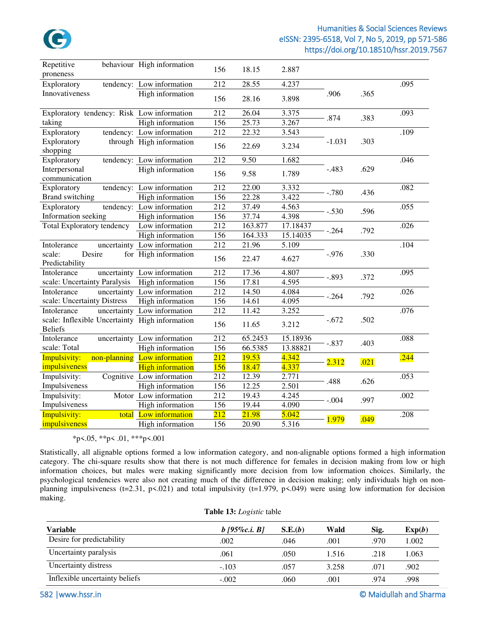

| Repetitive                                                       | behaviour High information   | 156              | 18.15   | 2.887    |          |      |      |
|------------------------------------------------------------------|------------------------------|------------------|---------|----------|----------|------|------|
| proneness                                                        |                              |                  |         |          |          |      |      |
| Exploratory                                                      | tendency: Low information    | 212              | 28.55   | 4.237    |          |      | .095 |
| Innovativeness                                                   | High information             | 156              | 28.16   | 3.898    | .906     | .365 |      |
| Exploratory tendency: Risk Low information                       |                              | 212              | 26.04   | 3.375    |          |      | .093 |
| taking                                                           | High information             | 156              | 25.73   | 3.267    | .874     | .383 |      |
| Exploratory                                                      | tendency: Low information    | 212              | 22.32   | 3.543    |          |      | .109 |
| Exploratory                                                      | through High information     | 156              | 22.69   | 3.234    | $-1.031$ | .303 |      |
| shopping                                                         |                              |                  |         |          |          |      |      |
| Exploratory                                                      | tendency: Low information    | 212              | 9.50    | 1.682    |          |      | .046 |
| Interpersonal                                                    | High information             | 156              | 9.58    | 1.789    | $-.483$  | .629 |      |
| communication                                                    |                              |                  |         |          |          |      |      |
| Exploratory                                                      | tendency: Low information    | 212              | 22.00   | 3.332    | $-.780$  | .436 | .082 |
| <b>Brand switching</b>                                           | High information             | 156              | 22.28   | 3.422    |          |      |      |
| Exploratory                                                      | tendency: Low information    | 212              | 37.49   | 4.563    | $-.530$  | .596 | .055 |
| Information seeking                                              | High information             | 156              | 37.74   | 4.398    |          |      |      |
| <b>Total Exploratory tendency</b>                                | Low information              | 212              | 163.877 | 17.18437 | $-.264$  | .792 | .026 |
|                                                                  | High information             | 156              | 164.333 | 15.14035 |          |      |      |
| Intolerance                                                      | uncertainty Low information  | 212              | 21.96   | 5.109    |          |      | .104 |
| scale:<br>Desire<br>Predictability                               | for High information         | 156              | 22.47   | 4.627    | $-.976$  | .330 |      |
| Intolerance                                                      | uncertainty Low information  | 212              | 17.36   | 4.807    | $-.893$  | .372 | .095 |
| scale: Uncertainty Paralysis                                     | High information             | 156              | 17.81   | 4.595    |          |      |      |
| Intolerance                                                      | uncertainty Low information  | 212              | 14.50   | 4.084    |          |      | .026 |
| scale: Uncertainty Distress                                      | High information             | 156              | 14.61   | 4.095    | $-.264$  | .792 |      |
| Intolerance                                                      | uncertainty Low information  | 212              | 11.42   | 3.252    |          |      | .076 |
| scale: Inflexible Uncertainty High information<br><b>Beliefs</b> |                              | 156              | 11.65   | 3.212    | $-.672$  | .502 |      |
| Intolerance                                                      | uncertainty Low information  | 212              | 65.2453 | 15.18936 | $-.837$  | .403 | .088 |
| scale: Total                                                     | High information             | 156              | 66.5385 | 13.88821 |          |      |      |
| Impulsivity:                                                     | non-planning Low information | $\overline{212}$ | 19.53   | 4.342    | 2.312    | .021 | .244 |
| impulsiveness                                                    | <b>High information</b>      | 156              | 18.47   | 4.337    |          |      |      |
| Impulsivity:                                                     | Cognitive Low information    | 212              | 12.39   | 2.771    |          |      | .053 |
| Impulsiveness                                                    | High information             | 156              | 12.25   | 2.501    | .488     | .626 |      |
| Impulsivity:                                                     | Motor Low information        | 212              | 19.43   | 4.245    |          |      | .002 |
| Impulsiveness                                                    | High information             | 156              | 19.44   | 4.090    | $-.004$  | .997 |      |
| Impulsivity:                                                     | total Low information        | $\overline{212}$ | 21.98   | 5.042    |          |      | .208 |
| impulsiveness                                                    | High information             | 156              | 20.90   | 5.316    | 1.979    | .049 |      |

### \*p<.05, \*\*p< .01, \*\*\*p<.001

Statistically, all alignable options formed a low information category, and non-alignable options formed a high information category. The chi-square results show that there is not much difference for females in decision making from low or high information choices, but males were making significantly more decision from low information choices. Similarly, the psychological tendencies were also not creating much of the difference in decision making; only individuals high on nonplanning impulsiveness (t=2.31, p<.021) and total impulsivity (t=1.979, p<.049) were using low information for decision making.

| Variable                       | $b$ [95\%c.i. B] | S.E.(b) | Wald  | Sig. | Exp(b) |
|--------------------------------|------------------|---------|-------|------|--------|
| Desire for predictability      | .002             | .046    | .001  | .970 | 1.002  |
| Uncertainty paralysis          | .061             | .050    | 1.516 | .218 | 1.063  |
| Uncertainty distress           | $-.103$          | .057    | 3.258 | .071 | .902   |
| Inflexible uncertainty beliefs | $-.002$          | .060    | .001  | .974 | .998   |

**Table 13:** *Logistic* table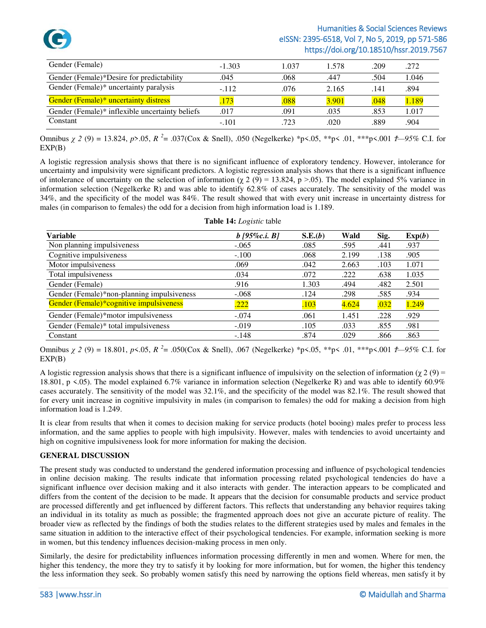

| Gender (Female)                                 | $-1.303$ | 1.037 | 1.578 | .209 | .272  |
|-------------------------------------------------|----------|-------|-------|------|-------|
| Gender (Female)*Desire for predictability       | .045     | .068  | .447  | .504 | 1.046 |
| Gender (Female)* uncertainty paralysis          | $-112$   | .076  | 2.165 | .141 | .894  |
| <b>Gender (Female)* uncertainty distress</b>    | 173      | 088   | 3.901 | .048 | 1.189 |
| Gender (Female)* inflexible uncertainty beliefs | .017     | .091  | .035  | .853 | 1.017 |
| Constant                                        | $-.101$  | .723  | .020  | .889 | .904  |

Omnibus *χ 2* (9) = 13.824, *p*>.05, *R <sup>2</sup>* = .037(Cox & Snell), .050 (Negelkerke) \*p<.05, \*\*p< .01, \*\*\*p<.001 *Ϯ—95%* C.I. for EXP(B)

A logistic regression analysis shows that there is no significant influence of exploratory tendency. However, intolerance for uncertainty and impulsivity were significant predictors. A logistic regression analysis shows that there is a significant influence of intolerance of uncertainty on the selection of information ( $\chi$  2 (9) = 13.824, p >.05). The model explained 5% variance in information selection (Negelkerke R) and was able to identify 62.8% of cases accurately. The sensitivity of the model was 34%, and the specificity of the model was 84%. The result showed that with every unit increase in uncertainty distress for males (in comparison to females) the odd for a decision from high information load is 1.189.

| <b>Variable</b>                            | $b$ [95\%c.i. B] | S.E.(b) | Wald  | Sig. | Exp(b) |
|--------------------------------------------|------------------|---------|-------|------|--------|
| Non planning impulsiveness                 | $-.065$          | .085    | .595  | .441 | .937   |
| Cognitive impulsiveness                    | $-.100$          | .068    | 2.199 | .138 | .905   |
| Motor impulsiveness                        | .069             | .042    | 2.663 | .103 | 1.071  |
| Total impulsiveness                        | .034             | .072    | .222  | .638 | 1.035  |
| Gender (Female)                            | .916             | 1.303   | .494  | .482 | 2.501  |
| Gender (Female)*non-planning impulsiveness | $-.068$          | .124    | .298  | .585 | .934   |
| Gender (Female)*cognitive impulsiveness    | .222             | 103     | 4.624 | .032 | 1.249  |
| Gender (Female)*motor impulsiveness        | $-.074$          | .061    | 1.451 | .228 | .929   |
| Gender (Female)* total impulsiveness       | $-.019$          | .105    | .033  | .855 | .981   |
| Constant                                   | $-.148$          | .874    | .029  | .866 | .863   |

Omnibus *χ 2* (9) = 18.801, *p*<.05, *R <sup>2</sup>* = .050(Cox & Snell), .067 (Negelkerke) \*p<.05, \*\*p< .01, \*\*\*p<.001 *Ϯ—95%* C.I. for EXP(B)

A logistic regression analysis shows that there is a significant influence of impulsivity on the selection of information ( $\gamma$  2 (9) = 18.801, p <.05). The model explained 6.7% variance in information selection (Negelkerke R) and was able to identify 60.9% cases accurately. The sensitivity of the model was 32.1%, and the specificity of the model was 82.1%. The result showed that for every unit increase in cognitive impulsivity in males (in comparison to females) the odd for making a decision from high information load is 1.249.

It is clear from results that when it comes to decision making for service products (hotel booing) males prefer to process less information, and the same applies to people with high impulsivity. However, males with tendencies to avoid uncertainty and high on cognitive impulsiveness look for more information for making the decision.

### **GENERAL DISCUSSION**

The present study was conducted to understand the gendered information processing and influence of psychological tendencies in online decision making. The results indicate that information processing related psychological tendencies do have a significant influence over decision making and it also interacts with gender. The interaction appears to be complicated and differs from the content of the decision to be made. It appears that the decision for consumable products and service product are processed differently and get influenced by different factors. This reflects that understanding any behavior requires taking an individual in its totality as much as possible; the fragmented approach does not give an accurate picture of reality. The broader view as reflected by the findings of both the studies relates to the different strategies used by males and females in the same situation in addition to the interactive effect of their psychological tendencies. For example, information seeking is more in women, but this tendency influences decision-making process in men only.

Similarly, the desire for predictability influences information processing differently in men and women. Where for men, the higher this tendency, the more they try to satisfy it by looking for more information, but for women, the higher this tendency the less information they seek. So probably women satisfy this need by narrowing the options field whereas, men satisfy it by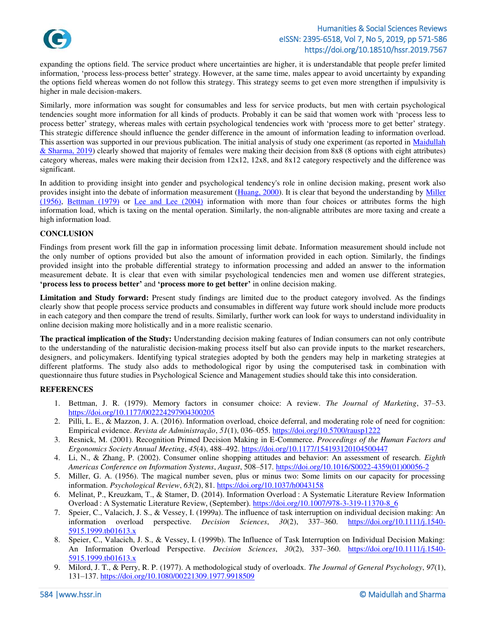

expanding the options field. The service product where uncertainties are higher, it is understandable that people prefer limited information, 'process less-process better' strategy. However, at the same time, males appear to avoid uncertainty by expanding the options field whereas women do not follow this strategy. This strategy seems to get even more strengthen if impulsivity is higher in male decision-makers.

Similarly, more information was sought for consumables and less for service products, but men with certain psychological tendencies sought more information for all kinds of products. Probably it can be said that women work with 'process less to process better' strategy, whereas males with certain psychological tendencies work with 'process more to get better' strategy. This strategic difference should influence the gender difference in the amount of information leading to information overload. This assertion was supported in our previous publication. The initial analysis of study one experiment (as reported in [Maidullah](#page-15-2)   $& Shama, 2019$ ) clearly showed that majority of females were making their decision from 8x8 (8 options with eight attributes) category whereas, males were making their decision from  $12x12$ ,  $12x8$ , and  $8x12$  category respectively and the difference was significant.

In addition to providing insight into gender and psychological tendency's role in online decision making, present work also provides insight into the debate of information measurement [\(Huang, 2000\)](#page-14-23). It is clear that beyond the understanding by Miller [\(1956\),](#page-13-2) [Bettman](#page-13-0) (1979) or [Lee and Lee \(2004\)](#page-14-4) information with more than four choices or attributes forms the high information load, which is taxing on the mental operation. Similarly, the non-alignable attributes are more taxing and create a high information load.

### **CONCLUSION**

Findings from present work fill the gap in information processing limit debate. Information measurement should include not the only number of options provided but also the amount of information provided in each option. Similarly, the findings provided insight into the probable differential strategy to information processing and added an answer to the information measurement debate. It is clear that even with similar psychological tendencies men and women use different strategies, **'process less to process better'** and **'process more to get better'** in online decision making.

**Limitation and Study forward:** Present study findings are limited due to the product category involved. As the findings clearly show that people process service products and consumables in different way future work should include more products in each category and then compare the trend of results. Similarly, further work can look for ways to understand individuality in online decision making more holistically and in a more realistic scenario.

**The practical implication of the Study:** Understanding decision making features of Indian consumers can not only contribute to the understanding of the naturalistic decision-making process itself but also can provide inputs to the market researchers, designers, and policymakers. Identifying typical strategies adopted by both the genders may help in marketing strategies at different platforms. The study also adds to methodological rigor by using the computerised task in combination with questionnaire thus future studies in Psychological Science and Management studies should take this into consideration.

### <span id="page-13-0"></span>**REFERENCES**

- 1. Bettman, J. R. (1979). Memory factors in consumer choice: A review. *The Journal of Marketing*, 37–53. <https://doi.org/10.1177/002224297904300205>
- 2. Pilli, L. E., & Mazzon, J. A. (2016). Information overload, choice deferral, and moderating role of need for cognition: Empirical evidence. *Revista de Administração*, *51*(1), 036–055.<https://doi.org/10.5700/rausp1222>
- 3. Resnick, M. (2001). Recognition Primed Decision Making in E-Commerce. *Proceedings of the Human Factors and Ergonomics Society Annual Meeting*, *45*(4), 488–492[. https://doi.org/10.1177/154193120104500447](https://doi.org/10.1177/154193120104500447)
- <span id="page-13-1"></span>4. Li, N., & Zhang, P. (2002). Consumer online shopping attitudes and behavior: An assessment of research. *Eighth Americas Conference on Information Systems*, *August*, 508–517[. https://doi.org/10.1016/S0022-4359\(01\)00056-2](https://doi.org/10.1016/S0022-4359(01)00056-2)
- <span id="page-13-2"></span>5. Miller, G. A. (1956). The magical number seven, plus or minus two: Some limits on our capacity for processing information. *Psychological Review*, *63*(2), 81.<https://doi.org/10.1037/h0043158>
- 6. Melinat, P., Kreuzkam, T., & Stamer, D. (2014). Information Overload : A Systematic Literature Review Information Overload : A Systematic Literature Review, (September). [https://doi.org/10.1007/978-3-319-11370-8\\_6](https://doi.org/10.1007/978-3-319-11370-8_6)
- <span id="page-13-3"></span>7. Speier, C., Valacich, J. S., & Vessey, I. (1999a). The influence of task interruption on individual decision making: An information overload perspective. *Decision Sciences*, *30*(2), 337–360. [https://doi.org/10.1111/j.1540-](https://doi.org/10.1111/j.1540-5915.1999.tb01613.x) [5915.1999.tb01613.x](https://doi.org/10.1111/j.1540-5915.1999.tb01613.x)
- 8. Speier, C., Valacich, J. S., & Vessey, I. (1999b). The Influence of Task Interruption on Individual Decision Making: An Information Overload Perspective. *Decision Sciences*, *30*(2), 337–360. [https://doi.org/10.1111/j.1540-](https://doi.org/10.1111/j.1540-5915.1999.tb01613.x) [5915.1999.tb01613.x](https://doi.org/10.1111/j.1540-5915.1999.tb01613.x)
- <span id="page-13-4"></span>9. Milord, J. T., & Perry, R. P. (1977). A methodological study of overloadx. *The Journal of General Psychology*, *97*(1), 131–137. <https://doi.org/10.1080/00221309.1977.9918509>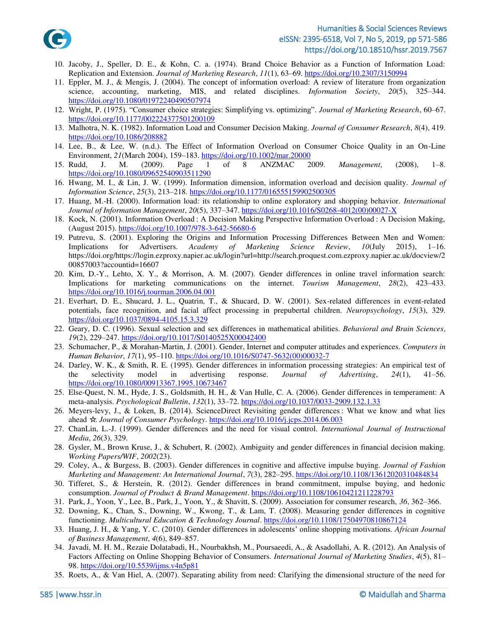

- <span id="page-14-0"></span>10. Jacoby, J., Speller, D. E., & Kohn, C. a. (1974). Brand Choice Behavior as a Function of Information Load: Replication and Extension. *Journal of Marketing Research*, *11*(1), 63–69.<https://doi.org/10.2307/3150994>
- <span id="page-14-1"></span>11. Eppler, M. J., & Mengis, J. (2004). The concept of information overload: A review of literature from organization science, accounting, marketing, MIS, and related disciplines. *Information Society*, *20*(5), 325–344. <https://doi.org/10.1080/01972240490507974>
- <span id="page-14-2"></span>12. Wright, P. (1975). "Consumer choice strategies: Simplifying vs. optimizing". *Journal of Marketing Research*, 60–67. <https://doi.org/10.1177/002224377501200109>
- <span id="page-14-3"></span>13. Malhotra, N. K. (1982). Information Load and Consumer Decision Making. *Journal of Consumer Research*, *8*(4), 419. <https://doi.org/10.1086/208882>
- <span id="page-14-4"></span>14. Lee, B., & Lee, W. (n.d.). The Effect of Information Overload on Consumer Choice Quality in an On-Line Environment, *21*(March 2004), 159–183.<https://doi.org/10.1002/mar.20000>
- <span id="page-14-5"></span>15. Rudd, J. M. (2009). Page 1 of 8 ANZMAC 2009. *Management*, (2008), 1–8. <https://doi.org/10.1080/09652540903511290>
- <span id="page-14-6"></span>16. Hwang, M. I., & Lin, J. W. (1999). Information dimension, information overload and decision quality. *Journal of Information Science*, *25*(3), 213–218.<https://doi.org/10.1177/016555159902500305>
- <span id="page-14-7"></span>17. Huang, M.-H. (2000). Information load: its relationship to online exploratory and shopping behavior. *International Journal of Information Management*, *20*(5), 337–347[. https://doi.org/10.1016/S0268-4012\(00\)00027-X](https://doi.org/10.1016/S0268-4012(00)00027-X)
- <span id="page-14-8"></span>18. Kock, N. (2001). Information Overload : A Decision Making Perspective Information Overload : A Decision Making, (August 2015)[. https://doi.org/10.1007/978-3-642-56680-6](https://doi.org/10.1007/978-3-642-56680-6)
- <span id="page-14-9"></span>19. Putrevu, S. (2001). Exploring the Origins and Information Processing Differences Between Men and Women: Implications for Advertisers. *Academy of Marketing Science Review*, *10*(July 2015), 1–16. https://doi.org/https://login.ezproxy.napier.ac.uk/login?url=http://search.proquest.com.ezproxy.napier.ac.uk/docview/2 00857003?accountid=16607
- <span id="page-14-10"></span>20. Kim, D.-Y., Lehto, X. Y., & Morrison, A. M. (2007). Gender differences in online travel information search: Implications for marketing communications on the internet. *Tourism Management*, *28*(2), 423–433. <https://doi.org/10.1016/j.tourman.2006.04.001>
- <span id="page-14-11"></span>21. Everhart, D. E., Shucard, J. L., Quatrin, T., & Shucard, D. W. (2001). Sex-related differences in event-related potentials, face recognition, and facial affect processing in prepubertal children. *Neuropsychology*, *15*(3), 329. <https://doi.org/10.1037/0894-4105.15.3.329>
- <span id="page-14-12"></span>22. Geary, D. C. (1996). Sexual selection and sex differences in mathematical abilities. *Behavioral and Brain Sciences*, *19*(2), 229–247.<https://doi.org/10.1017/S0140525X00042400>
- <span id="page-14-13"></span>23. Schumacher, P., & Morahan-Martin, J. (2001). Gender, Internet and computer attitudes and experiences. *Computers in Human Behavior*, *17*(1), 95–110[. https://doi.org/10.1016/S0747-5632\(00\)00032-7](https://doi.org/10.1016/S0747-5632(00)00032-7)
- <span id="page-14-14"></span>24. Darley, W. K., & Smith, R. E. (1995). Gender differences in information processing strategies: An empirical test of the selectivity model in advertising response. *Journal of Advertising*, *24*(1), 41–56. <https://doi.org/10.1080/00913367.1995.10673467>
- <span id="page-14-15"></span>25. Else-Quest, N. M., Hyde, J. S., Goldsmith, H. H., & Van Hulle, C. A. (2006). Gender differences in temperament: A meta-analysis. *Psychological Bulletin*, *132*(1), 33–72.<https://doi.org/10.1037/0033-2909.132.1.33>
- <span id="page-14-16"></span>26. Meyers-levy, J., & Loken, B. (2014). ScienceDirect Revisiting gender differences : What we know and what lies ahead ☆. *Journal of Consumer Psychology*[. https://doi.org/10.1016/j.jcps.2014.06.003](https://doi.org/10.1016/j.jcps.2014.06.003)
- <span id="page-14-17"></span>27. ChanLin, L.-J. (1999). Gender differences and the need for visual control. *International Journal of Instructional Media*, *26*(3), 329.
- <span id="page-14-18"></span>28. Gysler, M., Brown Kruse, J., & Schubert, R. (2002). Ambiguity and gender differences in financial decision making. *Working Papers/WIF*, *2002*(23).
- <span id="page-14-19"></span>29. Coley, A., & Burgess, B. (2003). Gender differences in cognitive and affective impulse buying. *Journal of Fashion Marketing and Management: An International Journal*, *7*(3), 282–295.<https://doi.org/10.1108/13612020310484834>
- <span id="page-14-20"></span>30. Tifferet, S., & Herstein, R. (2012). Gender differences in brand commitment, impulse buying, and hedonic consumption. *Journal of Product & Brand Management*[. https://doi.org/10.1108/10610421211228793](https://doi.org/10.1108/10610421211228793)
- <span id="page-14-21"></span>31. Park, J., Yoon, Y., Lee, B., Park, J., Yoon, Y., & Shavitt, S. (2009). Association for consumer research, *36*, 362–366.
- <span id="page-14-22"></span>32. Downing, K., Chan, S., Downing, W., Kwong, T., & Lam, T. (2008). Measuring gender differences in cognitive functioning. *Multicultural Education & Technology Journal*[. https://doi.org/10.1108/17504970810867124](https://doi.org/10.1108/17504970810867124)
- <span id="page-14-23"></span>33. Huang, J. H., & Yang, Y. C. (2010). Gender differences in adolescents' online shopping motivations. *African Journal of Business Management*, *4*(6), 849–857.
- <span id="page-14-24"></span>34. Javadi, M. H. M., Rezaie Dolatabadi, H., Nourbakhsh, M., Poursaeedi, A., & Asadollahi, A. R. (2012). An Analysis of Factors Affecting on Online Shopping Behavior of Consumers. *International Journal of Marketing Studies*, *4*(5), 81– 98.<https://doi.org/10.5539/ijms.v4n5p81>
- <span id="page-14-25"></span>35. Roets, A., & Van Hiel, A. (2007). Separating ability from need: Clarifying the dimensional structure of the need for